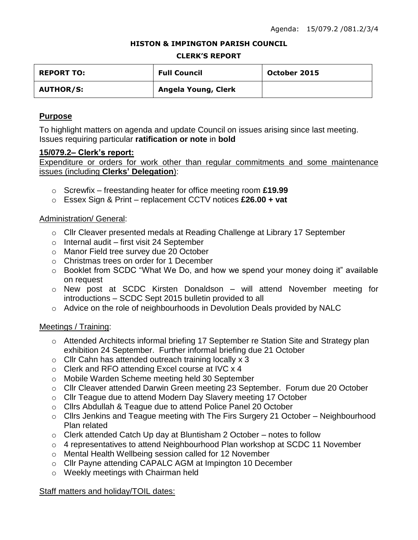#### **HISTON & IMPINGTON PARISH COUNCIL**

#### **CLERK'S REPORT**

| <b>REPORT TO:</b> | <b>Full Council</b> | October 2015 |
|-------------------|---------------------|--------------|
| <b>AUTHOR/S:</b>  | Angela Young, Clerk |              |

## **Purpose**

To highlight matters on agenda and update Council on issues arising since last meeting. Issues requiring particular **ratification or note** in **bold**

#### **15/079.2– Clerk's report:**

Expenditure or orders for work other than regular commitments and some maintenance issues (including **Clerks' Delegation**):

- o Screwfix freestanding heater for office meeting room **£19.99**
- o Essex Sign & Print replacement CCTV notices **£26.00 + vat**

## Administration/ General:

- o Cllr Cleaver presented medals at Reading Challenge at Library 17 September
- $\circ$  Internal audit first visit 24 September
- o Manor Field tree survey due 20 October
- o Christmas trees on order for 1 December
- o Booklet from SCDC "What We Do, and how we spend your money doing it" available on request
- o New post at SCDC Kirsten Donaldson will attend November meeting for introductions – SCDC Sept 2015 bulletin provided to all
- o Advice on the role of neighbourhoods in Devolution Deals provided by NALC

## Meetings / Training:

- o Attended Architects informal briefing 17 September re Station Site and Strategy plan exhibition 24 September. Further informal briefing due 21 October
- o Cllr Cahn has attended outreach training locally x 3
- o Clerk and RFO attending Excel course at IVC x 4
- o Mobile Warden Scheme meeting held 30 September
- o Cllr Cleaver attended Darwin Green meeting 23 September. Forum due 20 October
- o Cllr Teague due to attend Modern Day Slavery meeting 17 October
- o Cllrs Abdullah & Teague due to attend Police Panel 20 October
- o Cllrs Jenkins and Teague meeting with The Firs Surgery 21 October Neighbourhood Plan related
- o Clerk attended Catch Up day at Bluntisham 2 October notes to follow
- o 4 representatives to attend Neighbourhood Plan workshop at SCDC 11 November
- o Mental Health Wellbeing session called for 12 November
- o Cllr Payne attending CAPALC AGM at Impington 10 December
- o Weekly meetings with Chairman held

## Staff matters and holiday/TOIL dates: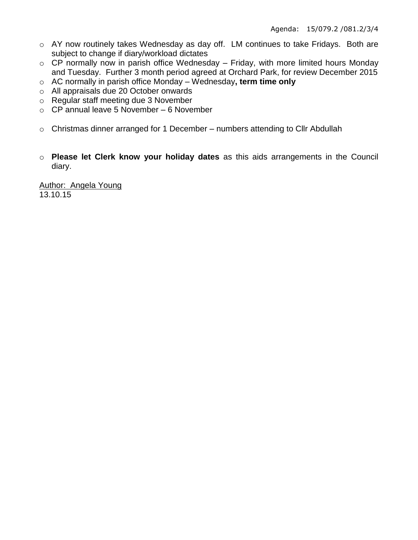- o AY now routinely takes Wednesday as day off. LM continues to take Fridays. Both are subject to change if diary/workload dictates
- $\circ$  CP normally now in parish office Wednesday Friday, with more limited hours Monday and Tuesday. Further 3 month period agreed at Orchard Park, for review December 2015
- o AC normally in parish office Monday Wednesday**, term time only**
- o All appraisals due 20 October onwards
- o Regular staff meeting due 3 November
- $\circ$  CP annual leave 5 November 6 November
- $\circ$  Christmas dinner arranged for 1 December numbers attending to Cllr Abdullah
- o **Please let Clerk know your holiday dates** as this aids arrangements in the Council diary.

Author: Angela Young 13.10.15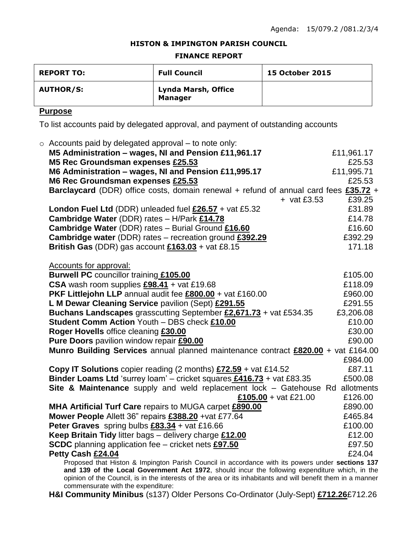#### **HISTON & IMPINGTON PARISH COUNCIL**

#### **FINANCE REPORT**

| <b>REPORT TO:</b> | <b>Full Council</b>                   | <b>15 October 2015</b> |
|-------------------|---------------------------------------|------------------------|
| <b>AUTHOR/S:</b>  | Lynda Marsh, Office<br><b>Manager</b> |                        |

## **Purpose**

To list accounts paid by delegated approval, and payment of outstanding accounts

| $\circ$ Accounts paid by delegated approval – to note only:                                      |            |
|--------------------------------------------------------------------------------------------------|------------|
| M5 Administration - wages, NI and Pension £11,961.17                                             | £11,961.17 |
| M5 Rec Groundsman expenses £25.53                                                                | £25.53     |
| M6 Administration - wages, NI and Pension £11,995.17                                             | £11,995.71 |
| M6 Rec Groundsman expenses £25.53                                                                | £25.53     |
| Barclaycard (DDR) office costs, domain renewal + refund of annual card fees £35.72 +             |            |
| $+$ vat £3.53                                                                                    | £39.25     |
| London Fuel Ltd (DDR) unleaded fuel $£26.57 +$ vat £5.32                                         | £31.89     |
| Cambridge Water (DDR) rates - H/Park £14.78                                                      | £14.78     |
| <b>Cambridge Water (DDR) rates - Burial Ground £16.60</b>                                        | £16.60     |
| <b>Cambridge water</b> (DDR) rates – recreation ground £392.29                                   | £392.29    |
| British Gas (DDR) gas account $£163.03 +$ vat £8.15                                              | 171.18     |
|                                                                                                  |            |
| <b>Accounts for approval:</b>                                                                    |            |
| <b>Burwell PC</b> councillor training £105.00                                                    | £105.00    |
| CSA wash room supplies $£98.41 +$ vat £19.68                                                     | £118.09    |
| PKF Littlejohn LLP annual audit fee £800.00 + vat £160.00                                        | £960.00    |
| L M Dewar Cleaning Service pavilion (Sept) £291.55                                               | £291.55    |
| Buchans Landscapes grasscutting September £2,671.73 + vat £534.35                                | £3,206.08  |
| Student Comm Action Youth - DBS check £10.00                                                     | £10.00     |
| Roger Hovells office cleaning £30.00                                                             | £30.00     |
| Pure Doors pavilion window repair £90.00                                                         | £90.00     |
| Munro Building Services annual planned maintenance contract £820.00 + vat £164.00                |            |
|                                                                                                  | £984.00    |
| <b>Copy IT Solutions</b> copier reading (2 months) $£72.59 +$ vat £14.52                         | £87.11     |
| Binder Loams Ltd 'surrey loam' - cricket squares $£416.73 +$ vat £83.35                          | £500.08    |
| Site & Maintenance supply and weld replacement lock - Gatehouse Rd allotments                    | £126.00    |
| £105.00 + vat £21.00<br>MHA Artificial Turf Care repairs to MUGA carpet £890.00                  | £890.00    |
| Mower People Allett 36" repairs £388.20 +vat £77.64                                              | £465.84    |
| Peter Graves spring bulbs £83.34 + vat £16.66                                                    | £100.00    |
| Keep Britain Tidy litter bags - delivery charge £12.00                                           | £12.00     |
| <b>SCDC</b> planning application fee - cricket nets £97.50                                       | £97.50     |
| Petty Cash £24.04                                                                                | £24.04     |
| Proposed that Histon & Impington Parish Council in accordance with its powers under sections 137 |            |
| and 139 of the Local Government Act 1972, should incur the following expenditure which in the    |            |

**and 139 of the Local Government Act 1972**, should incur the following expenditure which, in the opinion of the Council, is in the interests of the area or its inhabitants and will benefit them in a manner commensurate with the expenditure:

**H&I Community Minibus** (s137) Older Persons Co-Ordinator (July-Sept) **£712.26**£712.26